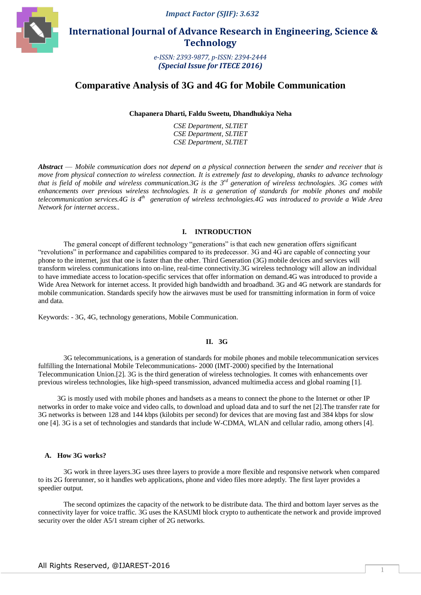*Impact Factor (SJIF): 3.632*



 **International Journal of Advance Research in Engineering, Science & Technology** 

> *e-ISSN: 2393-9877, p-ISSN: 2394-2444 (Special Issue for ITECE 2016)*

## **Comparative Analysis of 3G and 4G for Mobile Communication**

**Chapanera Dharti, Faldu Sweetu, Dhandhukiya Neha**

*CSE Department, SLTIET CSE Department, SLTIET CSE Department, SLTIET*

*Abstract* — *Mobile communication does not depend on a physical connection between the sender and receiver that is move from physical connection to wireless connection. It is extremely fast to developing, thanks to advance technology that is field of mobile and wireless communication.3G is the 3rd generation of wireless technologies. 3G comes with enhancements over previous wireless technologies. It is a generation of standards for mobile phones and mobile telecommunication services.4G is 4th generation of wireless technologies.4G was introduced to provide a Wide Area Network for internet access..*

#### **I. INTRODUCTION**

The general concept of different technology "generations" is that each new generation offers significant ―revolutions‖ in performance and capabilities compared to its predecessor. 3G and 4G are capable of connecting your phone to the internet, just that one is faster than the other. Third Generation (3G) mobile devices and services will transform wireless communications into on-line, real-time connectivity.3G wireless technology will allow an individual to have immediate access to location-specific services that offer information on demand.4G was introduced to provide a Wide Area Network for internet access. It provided high bandwidth and broadband. 3G and 4G network are standards for mobile communication. Standards specify how the airwaves must be used for transmitting information in form of voice and data.

Keywords: - 3G, 4G, technology generations, Mobile Communication.

#### **II. 3G**

3G telecommunications, is a generation of standards for mobile phones and mobile telecommunication services fulfilling the International Mobile Telecommunications- 2000 (IMT-2000) specified by the International Telecommunication Union.[2]. 3G is the third generation of wireless technologies. It comes with enhancements over previous wireless technologies, like high-speed transmission, advanced multimedia access and global roaming [1].

3G is mostly used with mobile phones and handsets as a means to connect the phone to the Internet or other IP networks in order to make voice and video calls, to download and upload data and to surf the net [2].The transfer rate for 3G networks is between 128 and 144 kbps (kilobits per second) for devices that are moving fast and 384 kbps for slow one [4]. 3G is a set of technologies and standards that include W-CDMA, WLAN and cellular radio, among others [4].

#### **A. How 3G works?**

3G work in three layers.3G uses three layers to provide a more flexible and responsive network when compared to its 2G forerunner, so it handles web applications, phone and video files more adeptly. The first layer provides a speedier output.

The second optimizes the capacity of the network to be distribute data. The third and bottom layer serves as the connectivity layer for voice traffic. 3G uses the KASUMI block crypto to authenticate the network and provide improved security over the older A5/1 stream cipher of 2G networks.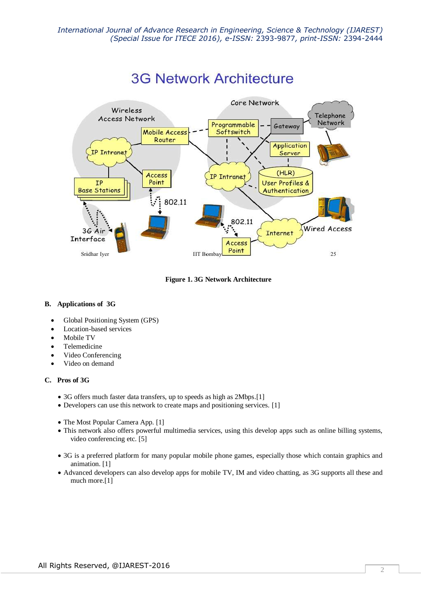

# **3G Network Architecture**

**Figure 1. 3G Network Architecture**

## **B. Applications of 3G**

- Global Positioning System (GPS)
- Location-based services
- Mobile TV
- Telemedicine
- Video Conferencing
- Video on demand

## **C. Pros of 3G**

- 3G offers much faster data transfers, up to speeds as high as 2Mbps.[1]
- Developers can use this network to create maps and positioning services. [1]
- The Most Popular Camera App. [1]
- This network also offers powerful multimedia services, using this develop apps such as online billing systems, video conferencing etc. [5]
- 3G is a preferred platform for many popular mobile phone games, especially those which contain graphics and animation. [1]
- Advanced developers can also develop apps for mobile TV, IM and video chatting, as 3G supports all these and much more.[1]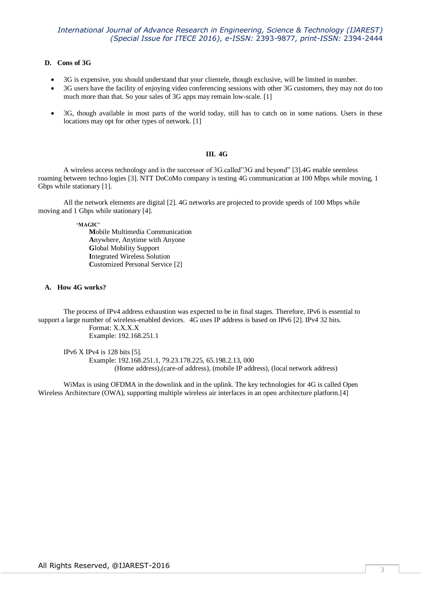## *International Journal of Advance Research in Engineering, Science & Technology (IJAREST) (Special Issue for ITECE 2016), e-ISSN:* 2393-9877*, print-ISSN:* 2394-2444

#### **D. Cons of 3G**

- 3G is expensive, you should understand that your clientele, though exclusive, will be limited in number.
- 3G users have the facility of enjoying video conferencing sessions with other 3G customers, they may not do too much more than that. So your sales of 3G apps may remain low-scale. [1]
- 3G, though available in most parts of the world today, still has to catch on in some nations. Users in these locations may opt for other types of network. [1]

## **III. 4G**

A wireless access technology and is the successor of 3G.called"3G and beyond" [3].4G enable seemless roaming between techno logies [3]. NTT DoCoMo company is testing 4G communication at 100 Mbps while moving, 1 Gbps while stationary [1].

All the network elements are digital [2]. 4G networks are projected to provide speeds of 100 Mbps while moving and 1 Gbps while stationary [4].

**'MAGIC'**

**M**obile Multimedia Communication **A**nywhere, Anytime with Anyone **G**lobal Mobility Support **I**ntegrated Wireless Solution **C**ustomized Personal Service [2]

#### **A. How 4G works?**

The process of IPv4 address exhaustion was expected to be in final stages. Therefore, IPv6 is essential to support a large number of wireless-enabled devices. 4G uses IP address is based on IPv6 [2]. IPv4 32 bits. Format: X.X.X.X Example: 192.168.251.1

IPv6 X IPv4 is 128 bits [5]. Example: 192.168.251.1, 79.23.178.225, 65.198.2.13, 000 (Home address),(care-of address), (mobile IP address), (local network address)

WiMax is using OFDMA in the downlink and in the uplink. The key technologies for 4G is called Open Wireless Architecture (OWA), supporting multiple wireless air interfaces in an open architecture platform.[4]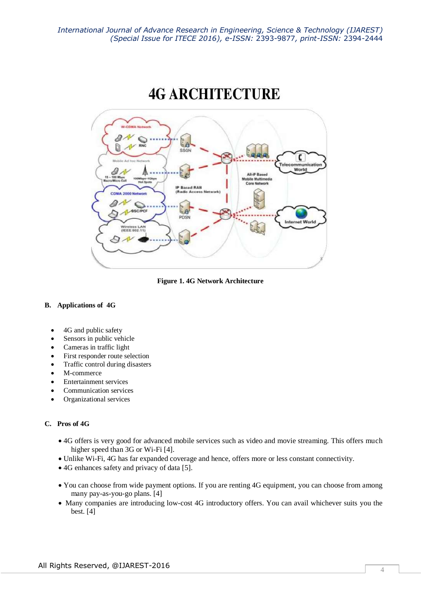

**Figure 1. 4G Network Architecture**

## **B. Applications of 4G**

- 4G and public safety
- Sensors in public vehicle
- Cameras in traffic light
- First responder route selection
- Traffic control during disasters
- M-commerce
- Entertainment services
- Communication services
- Organizational services

## **C. Pros of 4G**

- 4G offers is very good for advanced mobile services such as video and movie streaming. This offers much higher speed than 3G or Wi-Fi [4].
- Unlike Wi-Fi, 4G has far expanded coverage and hence, offers more or less constant connectivity.
- 4G enhances safety and privacy of data [5].
- You can choose from wide payment options. If you are renting 4G equipment, you can choose from among many pay-as-you-go plans. [4]
- Many companies are introducing low-cost 4G introductory offers. You can avail whichever suits you the best. [4]